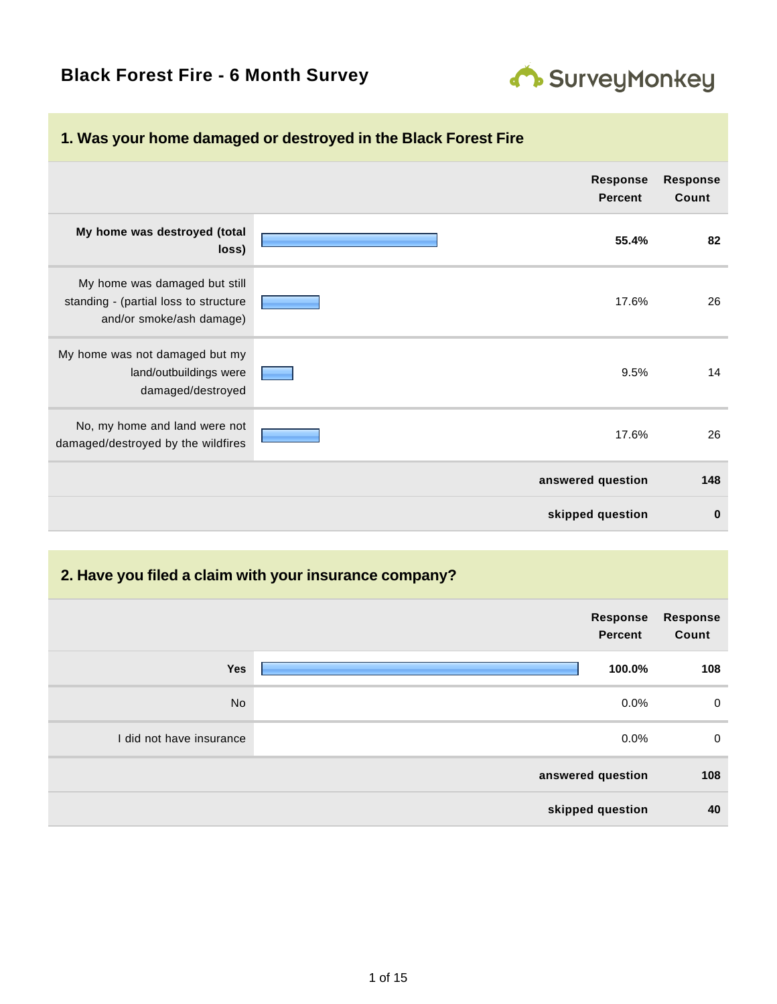# **Black Forest Fire - 6 Month Survey**



| T. Was your nome damaged or destroyed in the black Forest Fire                                     |                                   |                          |
|----------------------------------------------------------------------------------------------------|-----------------------------------|--------------------------|
|                                                                                                    | <b>Response</b><br><b>Percent</b> | <b>Response</b><br>Count |
| My home was destroyed (total<br>loss)                                                              | 55.4%                             | 82                       |
| My home was damaged but still<br>standing - (partial loss to structure<br>and/or smoke/ash damage) | 17.6%                             | 26                       |
| My home was not damaged but my<br>land/outbuildings were<br>damaged/destroyed                      | 9.5%                              | 14                       |
| No, my home and land were not<br>damaged/destroyed by the wildfires                                | 17.6%                             | 26                       |
|                                                                                                    | answered question                 | 148                      |
|                                                                                                    | skipped question                  | $\bf{0}$                 |

### **1. Was your home damaged or destroyed in the Black Forest Fire**

#### **2. Have you filed a claim with your insurance company?**

|                          | Response<br>Percent | <b>Response</b><br>Count |
|--------------------------|---------------------|--------------------------|
| Yes                      | 100.0%              | 108                      |
| <b>No</b>                | 0.0%                | $\mathbf 0$              |
| I did not have insurance | $0.0\%$             | $\mathbf 0$              |
|                          | answered question   | 108                      |
|                          | skipped question    | 40                       |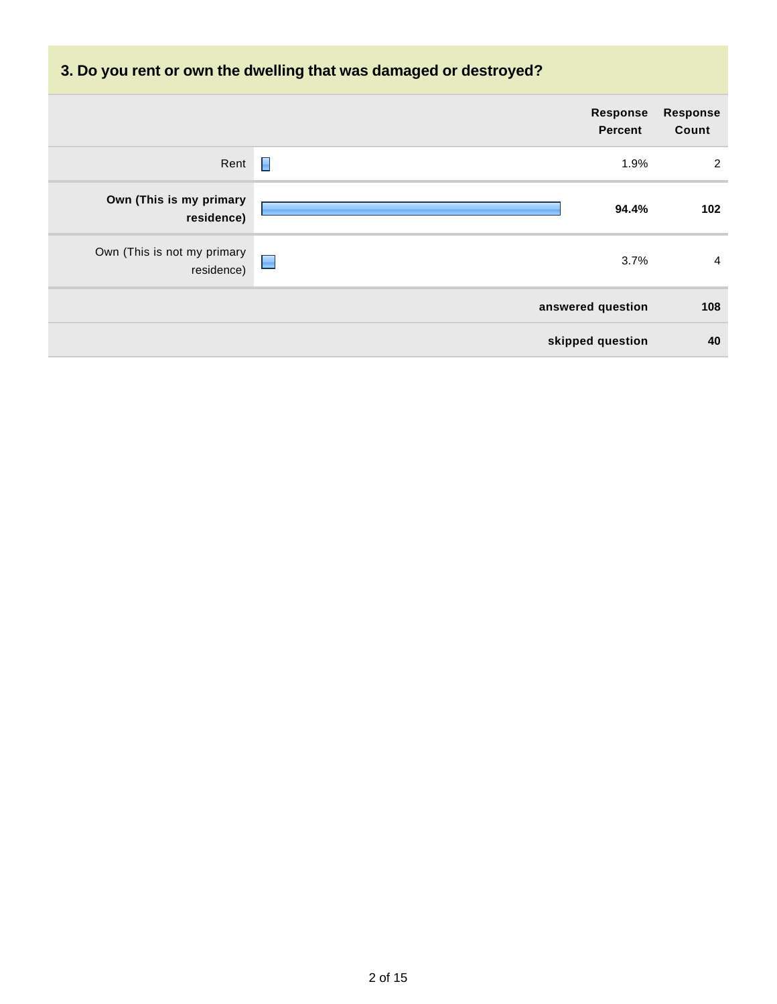# **3. Do you rent or own the dwelling that was damaged or destroyed?**

|                                           | Response<br><b>Percent</b> | <b>Response</b><br>Count |
|-------------------------------------------|----------------------------|--------------------------|
| Rent                                      | П<br>1.9%                  | 2                        |
| Own (This is my primary<br>residence)     | 94.4%                      | 102                      |
| Own (This is not my primary<br>residence) | $\blacksquare$<br>3.7%     | 4                        |
|                                           | answered question          | 108                      |
|                                           | skipped question           | 40                       |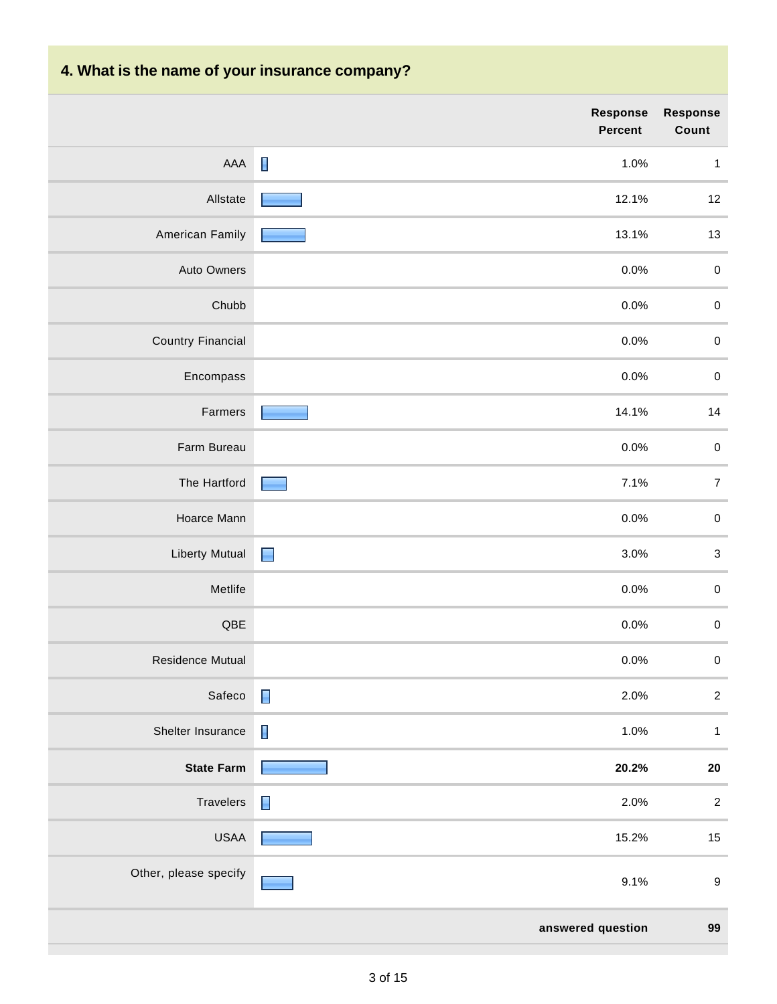# **4. What is the name of your insurance company?**

|                          | Response<br>Percent    | Response<br>Count         |
|--------------------------|------------------------|---------------------------|
| AAA                      | $\blacksquare$<br>1.0% | $\mathbf{1}$              |
| Allstate                 | 12.1%                  | 12                        |
| American Family          | 13.1%                  | 13                        |
| Auto Owners              | 0.0%                   | $\pmb{0}$                 |
| Chubb                    | 0.0%                   | $\pmb{0}$                 |
| <b>Country Financial</b> | 0.0%                   | $\pmb{0}$                 |
| Encompass                | 0.0%                   | $\pmb{0}$                 |
| Farmers                  | 14.1%                  | 14                        |
| Farm Bureau              | 0.0%                   | $\pmb{0}$                 |
| The Hartford             | 7.1%                   | $\overline{7}$            |
| Hoarce Mann              | 0.0%                   | $\pmb{0}$                 |
| <b>Liberty Mutual</b>    | $\blacksquare$<br>3.0% | $\ensuremath{\mathsf{3}}$ |
| Metlife                  | 0.0%                   | $\pmb{0}$                 |
| $\sf QBE$                | 0.0%                   | $\pmb{0}$                 |
| <b>Residence Mutual</b>  | 0.0%                   | $\pmb{0}$                 |
| Safeco                   | $\blacksquare$<br>2.0% | $\overline{\mathbf{c}}$   |
| Shelter Insurance        | $\blacksquare$<br>1.0% | $\mathbf{1}$              |
| <b>State Farm</b>        | 20.2%                  | ${\bf 20}$                |
| Travelers                | $\blacksquare$<br>2.0% | $\boldsymbol{2}$          |
| <b>USAA</b>              | 15.2%                  | 15                        |
| Other, please specify    | 9.1%                   | $\boldsymbol{9}$          |
|                          | answered question      | 99                        |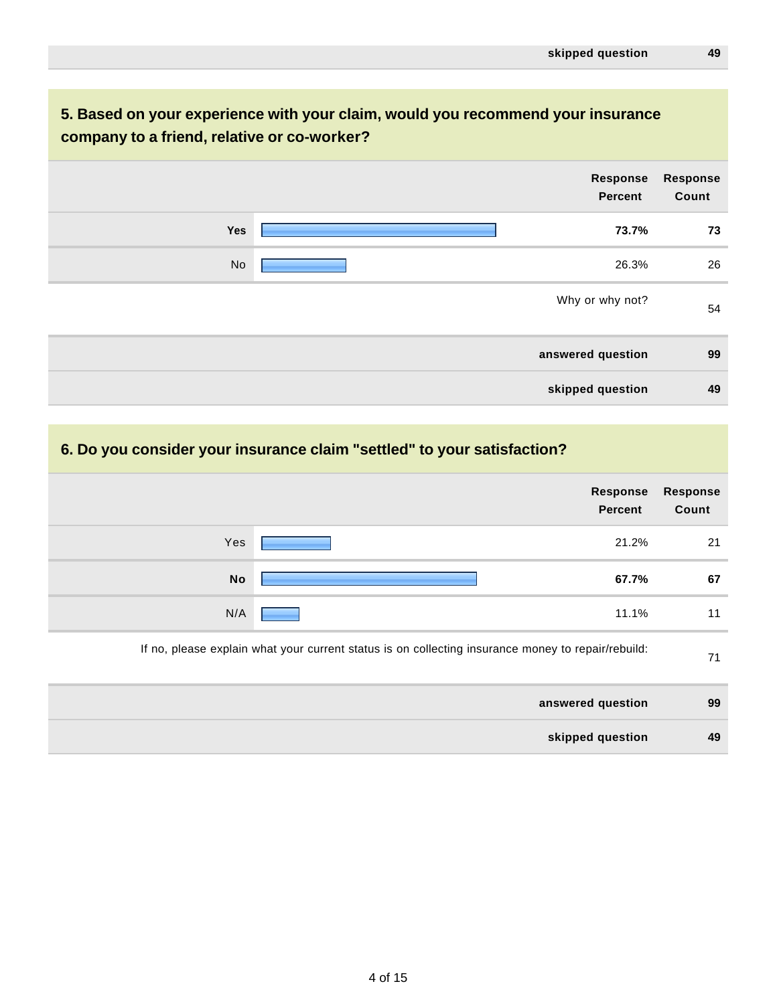#### **5. Based on your experience with your claim, would you recommend your insurance company to a friend, relative or co-worker?**

|     | Response<br><b>Percent</b> | <b>Response</b><br>Count |
|-----|----------------------------|--------------------------|
| Yes | 73.7%                      | 73                       |
| No  | 26.3%                      | 26                       |
|     | Why or why not?            | 54                       |
|     | answered question          | 99                       |
|     | skipped question           | 49                       |

#### **6. Do you consider your insurance claim "settled" to your satisfaction?**

| <b>Response</b><br>Count | Response<br><b>Percent</b>                                                                         |           |
|--------------------------|----------------------------------------------------------------------------------------------------|-----------|
| 21                       | 21.2%                                                                                              | Yes       |
| 67                       | 67.7%                                                                                              | <b>No</b> |
| 11                       | 11.1%                                                                                              | N/A       |
| 71                       | If no, please explain what your current status is on collecting insurance money to repair/rebuild: |           |
| 99                       | answered question                                                                                  |           |
| 49                       | skipped question                                                                                   |           |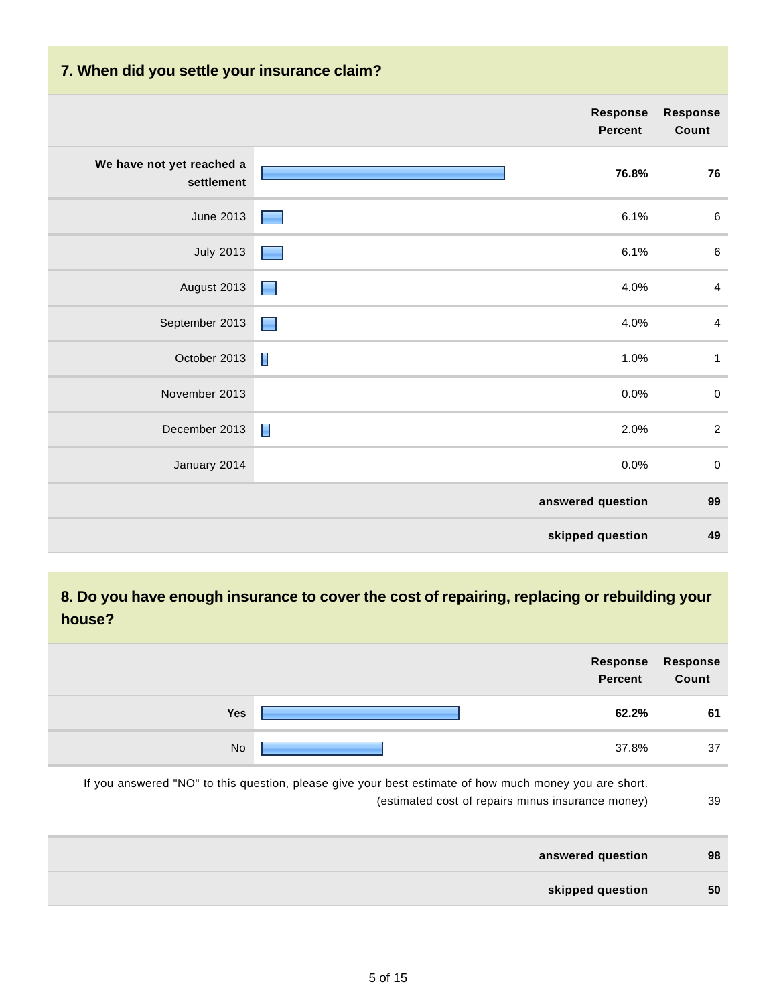#### **7. When did you settle your insurance claim?**

|                                         |                | <b>Response</b><br><b>Percent</b> | <b>Response</b><br>Count |
|-----------------------------------------|----------------|-----------------------------------|--------------------------|
| We have not yet reached a<br>settlement |                | 76.8%                             | ${\bf 76}$               |
| <b>June 2013</b>                        |                | 6.1%                              | $\,6\,$                  |
| <b>July 2013</b>                        |                | 6.1%                              | $\,6\,$                  |
| August 2013                             | <b>College</b> | 4.0%                              | $\overline{4}$           |
| September 2013                          | L.             | 4.0%                              | $\overline{4}$           |
| October 2013                            | Г              | 1.0%                              | $\mathbf{1}$             |
| November 2013                           |                | 0.0%                              | $\pmb{0}$                |
| December 2013                           | E              | 2.0%                              | $\sqrt{2}$               |
| January 2014                            |                | 0.0%                              | $\pmb{0}$                |
|                                         |                | answered question                 | 99                       |
|                                         |                | skipped question                  | 49                       |

#### **8. Do you have enough insurance to cover the cost of repairing, replacing or rebuilding your house?**

|                                                                                                        | <b>Response</b><br><b>Percent</b> | <b>Response</b><br>Count |
|--------------------------------------------------------------------------------------------------------|-----------------------------------|--------------------------|
| <b>Yes</b>                                                                                             | 62.2%                             | 61                       |
| No                                                                                                     | 37.8%                             | 37                       |
| If you answered "NO" to this question, please give your best estimate of how much money you are short. |                                   |                          |

(estimated cost of repairs minus insurance money) 39

| answered question | 98 |
|-------------------|----|
| skipped question  | 50 |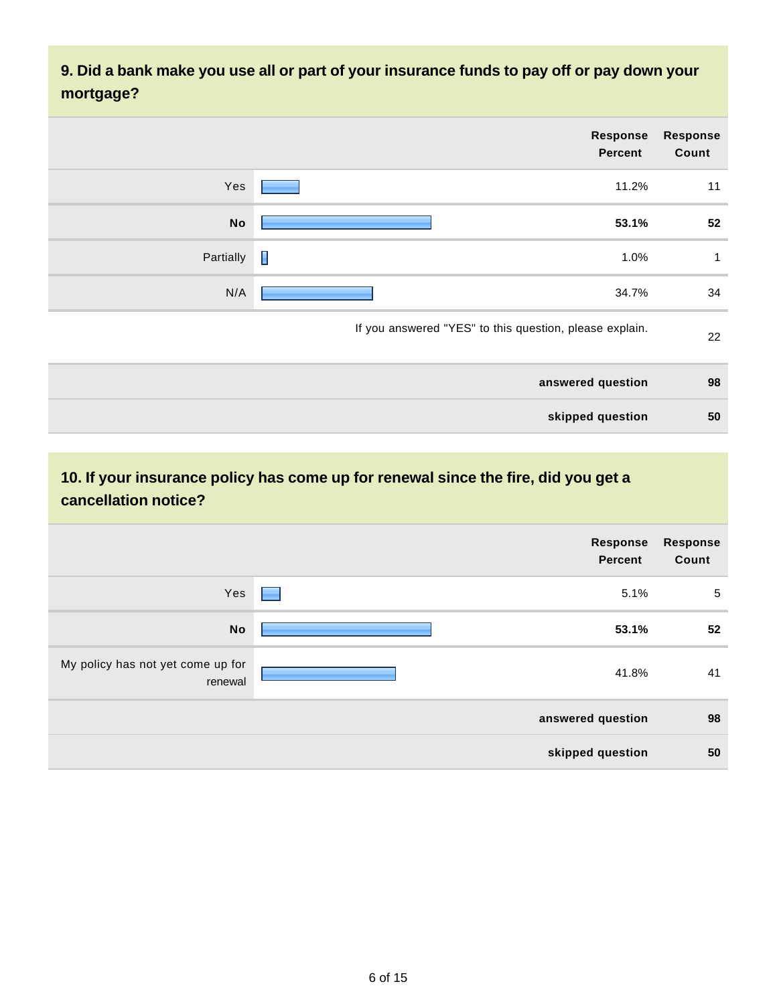**9. Did a bank make you use all or part of your insurance funds to pay off or pay down your mortgage?**

| <b>Response</b><br>Count | Response<br><b>Percent</b>                              |           |
|--------------------------|---------------------------------------------------------|-----------|
| 11                       | 11.2%                                                   | Yes       |
| 52                       | 53.1%                                                   | <b>No</b> |
| 1                        | 1.0%                                                    | Partially |
| 34                       | 34.7%                                                   | N/A       |
| 22                       | If you answered "YES" to this question, please explain. |           |
| 98                       | answered question                                       |           |
| 50                       | skipped question                                        |           |

## **10. If your insurance policy has come up for renewal since the fire, did you get a cancellation notice?**

|                                              | Response<br><b>Percent</b>                | <b>Response</b><br>Count |
|----------------------------------------------|-------------------------------------------|--------------------------|
| Yes                                          | 5.1%<br><b>Contract Contract Contract</b> | $\sqrt{5}$               |
| <b>No</b>                                    | 53.1%                                     | 52                       |
| My policy has not yet come up for<br>renewal | 41.8%                                     | 41                       |
|                                              | answered question                         | 98                       |
|                                              | skipped question                          | 50                       |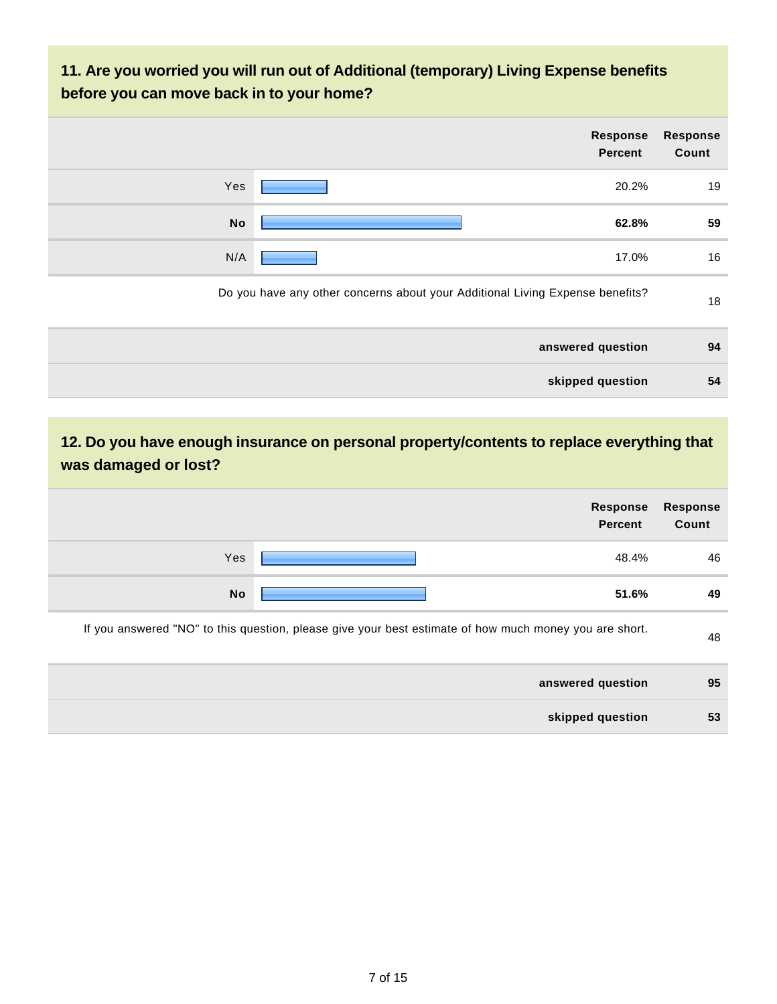#### **11. Are you worried you will run out of Additional (temporary) Living Expense benefits before you can move back in to your home?**

|           | Response<br><b>Percent</b>                                                    | <b>Response</b><br>Count |
|-----------|-------------------------------------------------------------------------------|--------------------------|
| Yes       | 20.2%                                                                         | 19                       |
| <b>No</b> | 62.8%                                                                         | 59                       |
| N/A       | 17.0%                                                                         | 16                       |
|           | Do you have any other concerns about your Additional Living Expense benefits? | 18                       |
|           | answered question                                                             | 94                       |
|           | skipped question                                                              | 54                       |

#### **12. Do you have enough insurance on personal property/contents to replace everything that was damaged or lost?**

| Response<br><b>Percent</b>                                                                             | <b>Response</b><br>Count |
|--------------------------------------------------------------------------------------------------------|--------------------------|
| Yes<br>48.4%                                                                                           | 46                       |
| <b>No</b><br>51.6%                                                                                     | 49                       |
| If you answered "NO" to this question, please give your best estimate of how much money you are short. | 48                       |
| answered question                                                                                      | 95                       |
| skipped question                                                                                       | 53                       |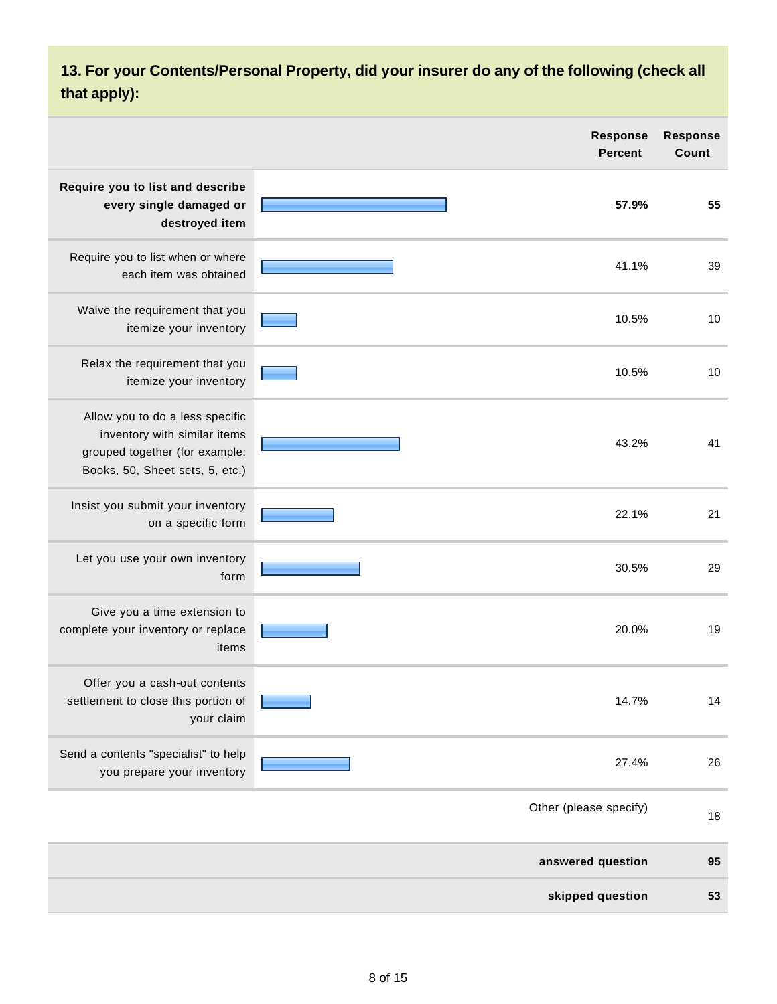## **13. For your Contents/Personal Property, did your insurer do any of the following (check all that apply):**

|                                                                                                                                      | <b>Response</b><br><b>Percent</b> | <b>Response</b><br>Count |
|--------------------------------------------------------------------------------------------------------------------------------------|-----------------------------------|--------------------------|
| Require you to list and describe<br>every single damaged or<br>destroyed item                                                        | 57.9%                             | 55                       |
| Require you to list when or where<br>each item was obtained                                                                          | 41.1%                             | 39                       |
| Waive the requirement that you<br>itemize your inventory                                                                             | 10.5%                             | 10                       |
| Relax the requirement that you<br>itemize your inventory                                                                             | 10.5%                             | 10                       |
| Allow you to do a less specific<br>inventory with similar items<br>grouped together (for example:<br>Books, 50, Sheet sets, 5, etc.) | 43.2%                             | 41                       |
| Insist you submit your inventory<br>on a specific form                                                                               | 22.1%                             | 21                       |
| Let you use your own inventory<br>form                                                                                               | 30.5%                             | 29                       |
| Give you a time extension to<br>complete your inventory or replace<br>items                                                          | 20.0%                             | 19                       |
| Offer you a cash-out contents<br>settlement to close this portion of<br>your claim                                                   | 14.7%                             | 14                       |
| Send a contents "specialist" to help<br>you prepare your inventory                                                                   | 27.4%                             | 26                       |
|                                                                                                                                      | Other (please specify)            | 18                       |
|                                                                                                                                      | answered question                 | 95                       |
|                                                                                                                                      | skipped question                  | 53                       |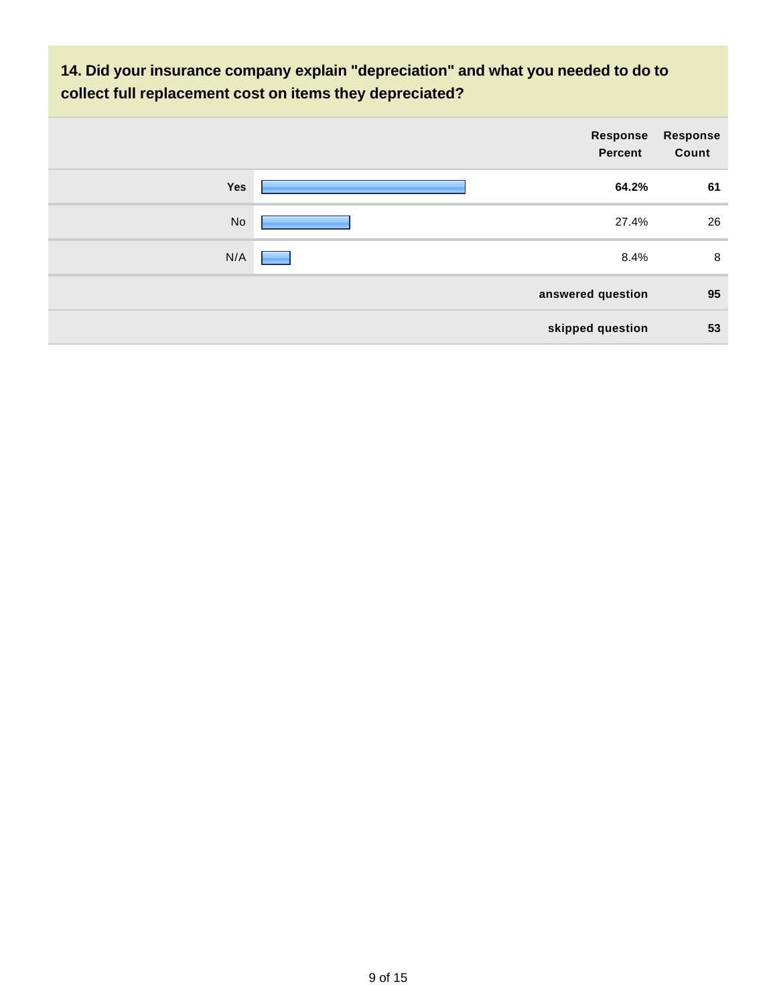**14. Did your insurance company explain "depreciation" and what you needed to do to collect full replacement cost on items they depreciated?**

|     | Response<br><b>Percent</b> | Response<br>Count |
|-----|----------------------------|-------------------|
| Yes | 64.2%                      | 61                |
| No  | 27.4%                      | 26                |
| N/A | 8.4%                       | 8                 |
|     | answered question          | 95                |
|     | skipped question           | 53                |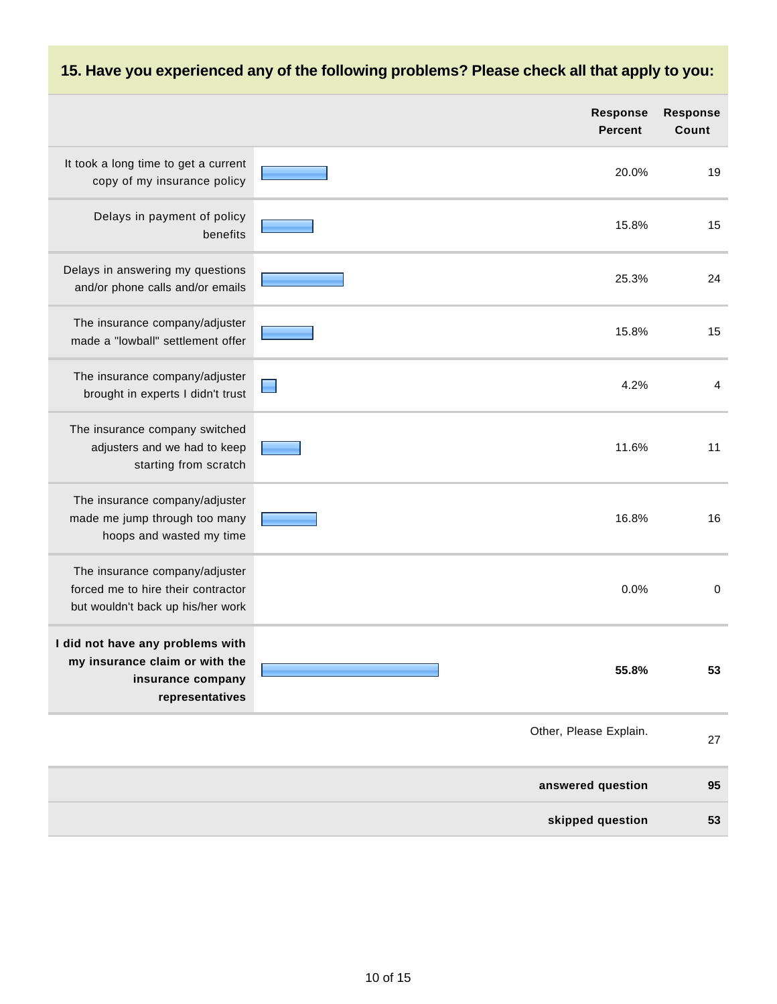# **15. Have you experienced any of the following problems? Please check all that apply to you:**

|                                                                                                            | <b>Response</b><br><b>Percent</b> | <b>Response</b><br>Count |
|------------------------------------------------------------------------------------------------------------|-----------------------------------|--------------------------|
| It took a long time to get a current<br>copy of my insurance policy                                        | 20.0%                             | 19                       |
| Delays in payment of policy<br>benefits                                                                    | 15.8%                             | 15                       |
| Delays in answering my questions<br>and/or phone calls and/or emails                                       | 25.3%                             | 24                       |
| The insurance company/adjuster<br>made a "lowball" settlement offer                                        | 15.8%                             | 15                       |
| The insurance company/adjuster<br>brought in experts I didn't trust                                        | 4.2%                              | 4                        |
| The insurance company switched<br>adjusters and we had to keep<br>starting from scratch                    | 11.6%                             | 11                       |
| The insurance company/adjuster<br>made me jump through too many<br>hoops and wasted my time                | 16.8%                             | 16                       |
| The insurance company/adjuster<br>forced me to hire their contractor<br>but wouldn't back up his/her work  | 0.0%                              | $\mathbf 0$              |
| I did not have any problems with<br>my insurance claim or with the<br>insurance company<br>representatives | 55.8%                             | 53                       |
|                                                                                                            | Other, Please Explain.            | 27                       |
|                                                                                                            | answered question                 | 95                       |
|                                                                                                            | skipped question                  | 53                       |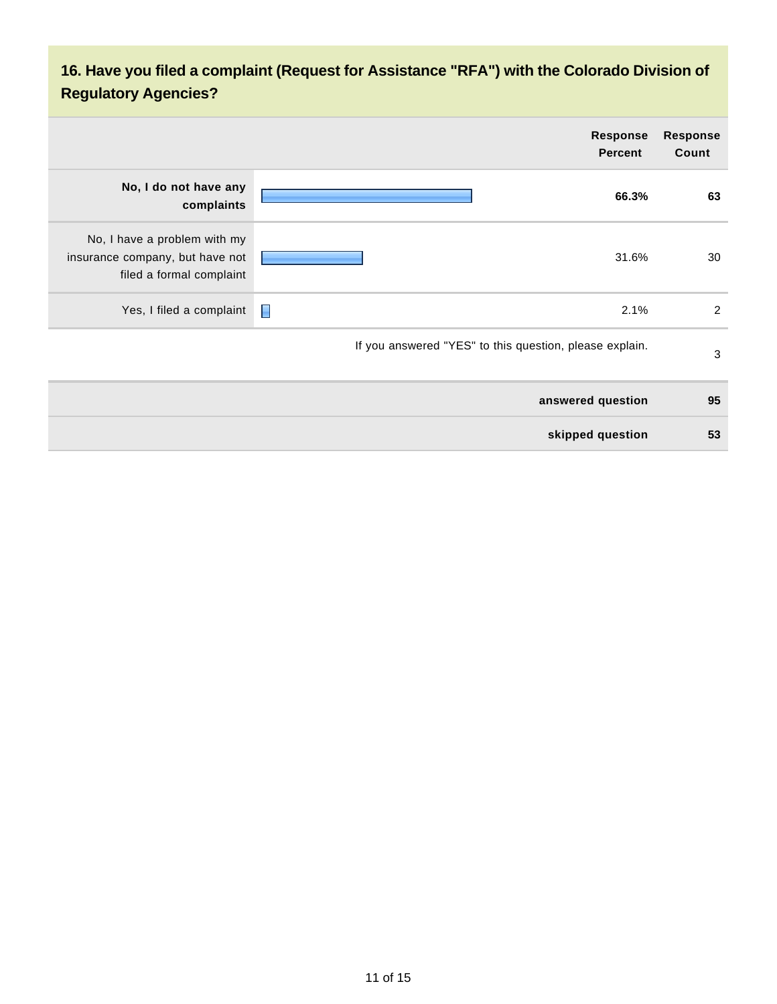## **16. Have you filed a complaint (Request for Assistance "RFA") with the Colorado Division of Regulatory Agencies?**

| <b>Response</b><br>Count | <b>Response</b><br><b>Percent</b>                       |                                                                                             |
|--------------------------|---------------------------------------------------------|---------------------------------------------------------------------------------------------|
| 63                       | 66.3%                                                   | No, I do not have any<br>complaints                                                         |
| 30                       | 31.6%                                                   | No, I have a problem with my<br>insurance company, but have not<br>filed a formal complaint |
| $\overline{2}$           | П<br>2.1%                                               | Yes, I filed a complaint                                                                    |
| $\mathbf{3}$             | If you answered "YES" to this question, please explain. |                                                                                             |
| 95                       | answered question                                       |                                                                                             |
| 53                       | skipped question                                        |                                                                                             |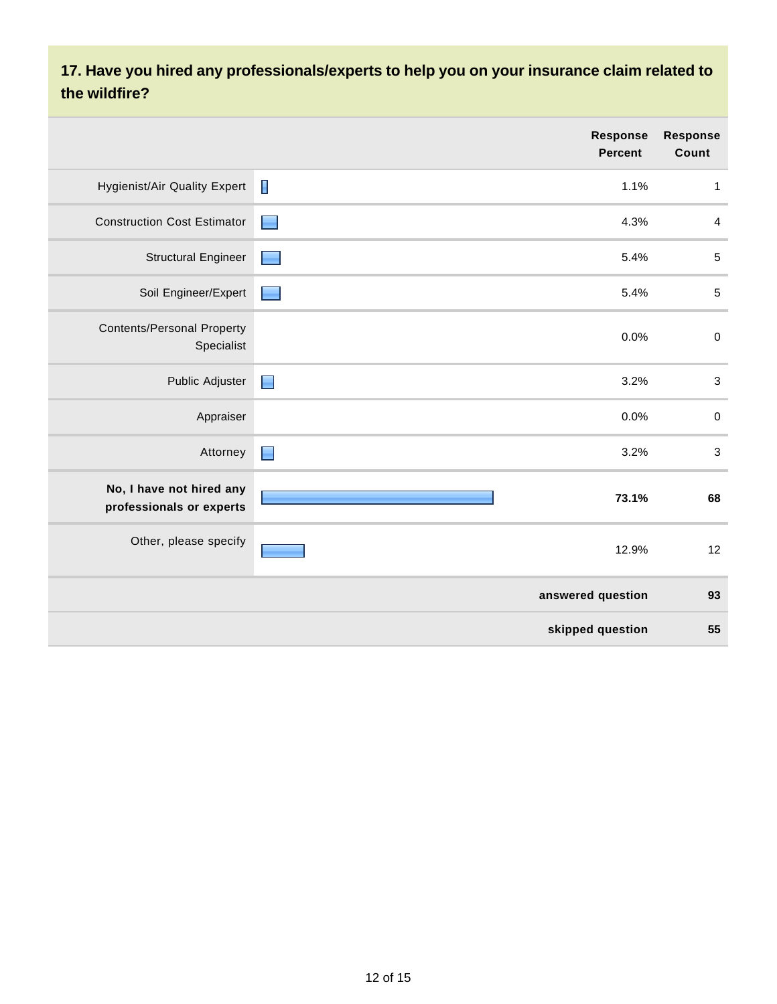### **17. Have you hired any professionals/experts to help you on your insurance claim related to the wildfire?**

|                                                      | <b>Response</b><br><b>Percent</b> | <b>Response</b><br>Count |
|------------------------------------------------------|-----------------------------------|--------------------------|
| <b>Hygienist/Air Quality Expert</b>                  | Π<br>1.1%                         | $\mathbf{1}$             |
| <b>Construction Cost Estimator</b>                   | 4.3%                              | 4                        |
| <b>Structural Engineer</b>                           | 5.4%                              | $\mathbf 5$              |
| Soil Engineer/Expert                                 | 5.4%                              | $\,$ 5 $\,$              |
| <b>Contents/Personal Property</b><br>Specialist      | 0.0%                              | $\pmb{0}$                |
| Public Adjuster                                      | 3.2%<br>▉                         | $\sqrt{3}$               |
| Appraiser                                            | 0.0%                              | $\pmb{0}$                |
| Attorney                                             | 3.2%<br>$\blacksquare$            | $\sqrt{3}$               |
| No, I have not hired any<br>professionals or experts | 73.1%                             | 68                       |
| Other, please specify                                | 12.9%                             | 12                       |
|                                                      | answered question                 | 93                       |
|                                                      | skipped question                  | 55                       |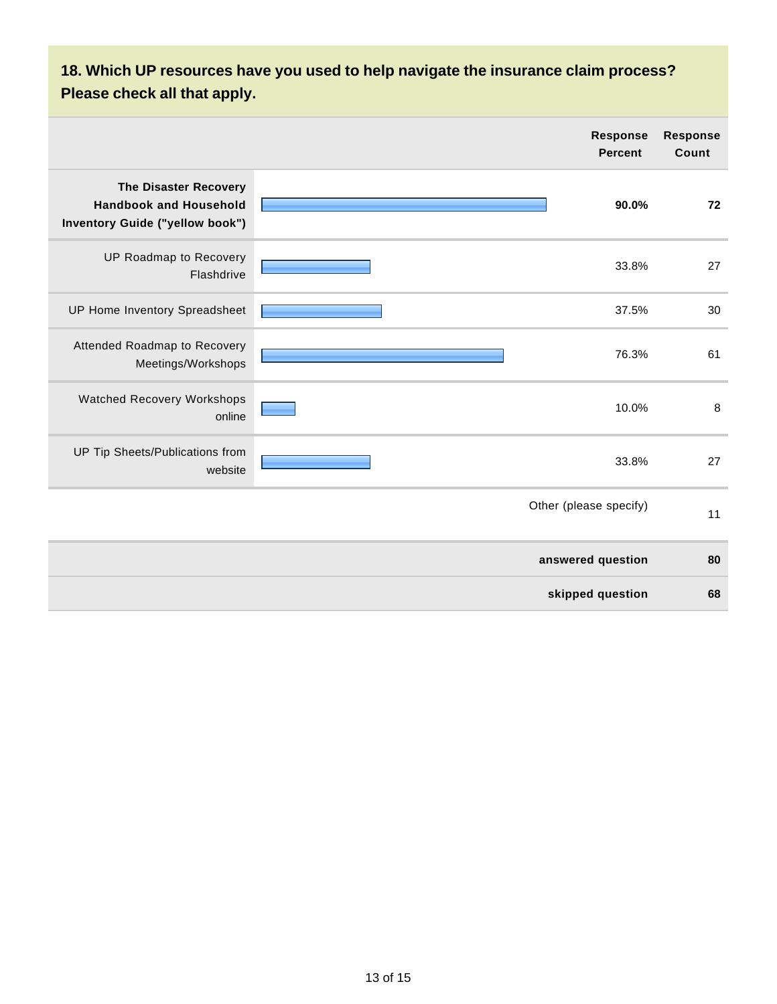## **18. Which UP resources have you used to help navigate the insurance claim process? Please check all that apply.**

|                                                                                                  | <b>Response</b><br><b>Percent</b> | <b>Response</b><br>Count |
|--------------------------------------------------------------------------------------------------|-----------------------------------|--------------------------|
| <b>The Disaster Recovery</b><br><b>Handbook and Household</b><br>Inventory Guide ("yellow book") | 90.0%                             | 72                       |
| UP Roadmap to Recovery<br>Flashdrive                                                             | 33.8%                             | 27                       |
| UP Home Inventory Spreadsheet                                                                    | 37.5%                             | 30                       |
| Attended Roadmap to Recovery<br>Meetings/Workshops                                               | 76.3%                             | 61                       |
| <b>Watched Recovery Workshops</b><br>online                                                      | 10.0%                             | $\, 8$                   |
| UP Tip Sheets/Publications from<br>website                                                       | 33.8%                             | 27                       |
|                                                                                                  | Other (please specify)            | 11                       |
|                                                                                                  | answered question                 | 80                       |
|                                                                                                  | skipped question                  | 68                       |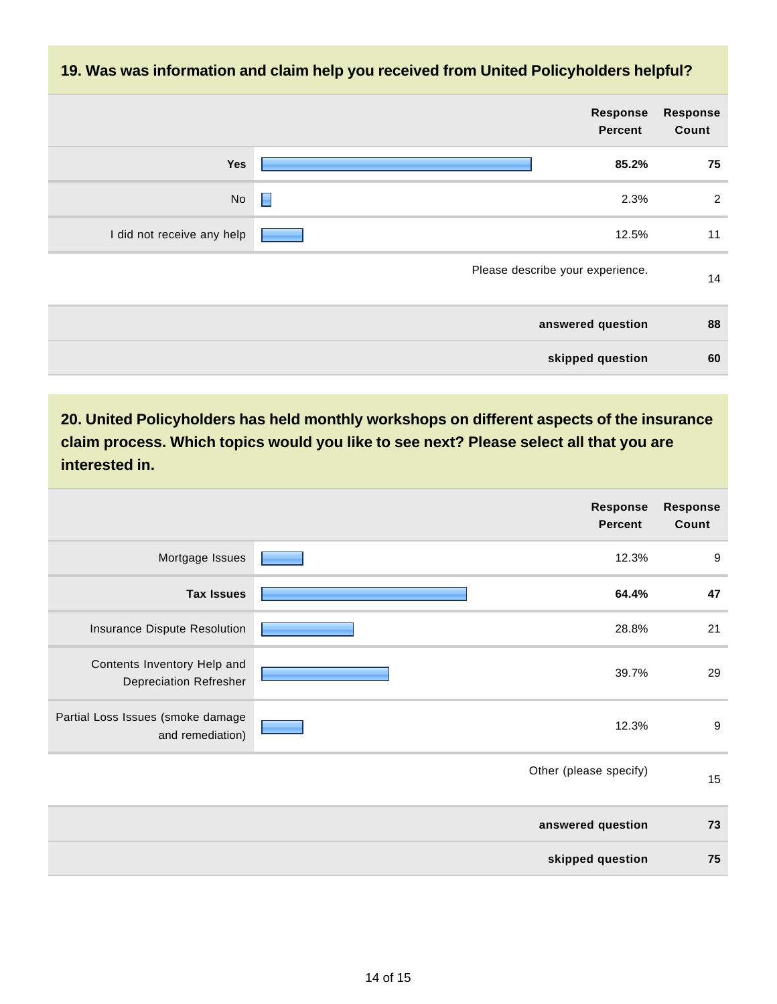#### **19. Was was information and claim help you received from United Policyholders helpful?**

|                            | <b>Response</b><br><b>Percent</b> | <b>Response</b><br>Count |
|----------------------------|-----------------------------------|--------------------------|
| Yes                        | 85.2%                             | 75                       |
| No                         | 2.3%<br>▉                         | $\overline{2}$           |
| I did not receive any help | 12.5%                             | 11                       |
|                            | Please describe your experience.  | 14                       |
|                            | answered question                 | 88                       |
|                            | skipped question                  | 60                       |

**20. United Policyholders has held monthly workshops on different aspects of the insurance claim process. Which topics would you like to see next? Please select all that you are interested in.**

|                                                              |       | <b>Response</b><br><b>Percent</b> | <b>Response</b><br>Count |
|--------------------------------------------------------------|-------|-----------------------------------|--------------------------|
| Mortgage Issues                                              |       | 12.3%                             | 9                        |
| <b>Tax Issues</b>                                            |       | 64.4%                             | 47                       |
| Insurance Dispute Resolution                                 |       | 28.8%                             | 21                       |
| Contents Inventory Help and<br><b>Depreciation Refresher</b> | 39.7% |                                   | 29                       |
| Partial Loss Issues (smoke damage<br>and remediation)        |       | 12.3%                             |                          |
|                                                              |       | Other (please specify)            | 15                       |
|                                                              |       | answered question                 | 73                       |
|                                                              |       | skipped question                  | 75                       |